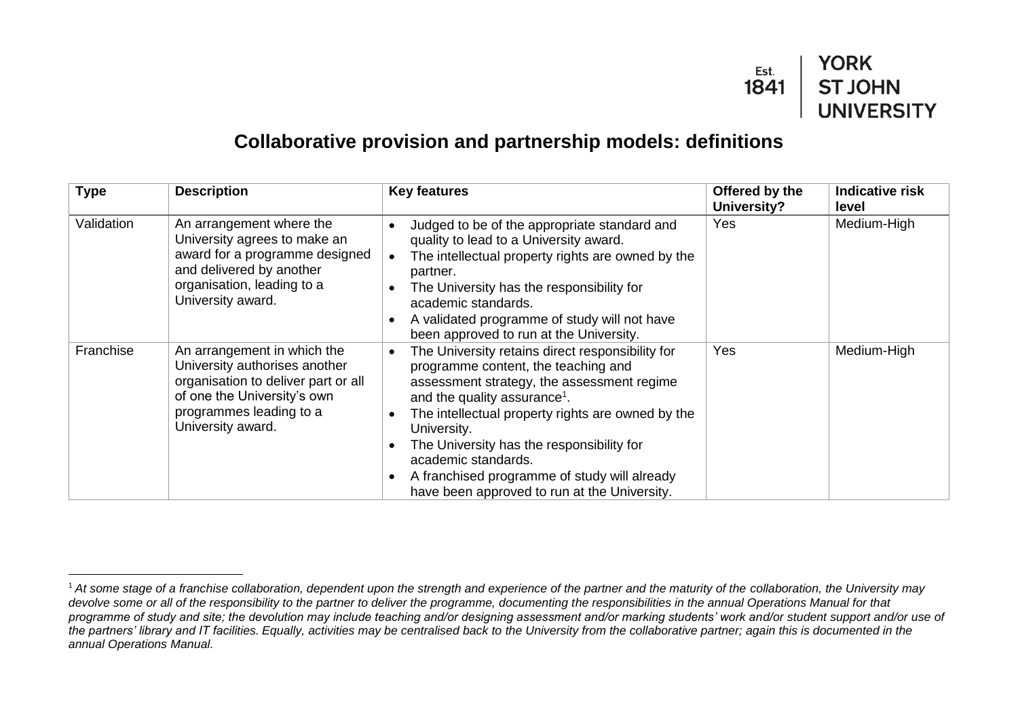## **YORK ST JOHN** 1841 **UNIVERSITY**

Est.

## **Collaborative provision and partnership models: definitions**

| <b>Type</b> | <b>Description</b>                                                                                                                                                                 | <b>Key features</b>                                                                                                                                                                                                                                                                                                                                                                                                                                 | Offered by the<br>University? | <b>Indicative risk</b><br>level |
|-------------|------------------------------------------------------------------------------------------------------------------------------------------------------------------------------------|-----------------------------------------------------------------------------------------------------------------------------------------------------------------------------------------------------------------------------------------------------------------------------------------------------------------------------------------------------------------------------------------------------------------------------------------------------|-------------------------------|---------------------------------|
| Validation  | An arrangement where the<br>University agrees to make an<br>award for a programme designed<br>and delivered by another<br>organisation, leading to a<br>University award.          | Judged to be of the appropriate standard and<br>quality to lead to a University award.<br>The intellectual property rights are owned by the<br>partner.<br>The University has the responsibility for<br>academic standards.<br>A validated programme of study will not have<br>been approved to run at the University.                                                                                                                              | Yes                           | Medium-High                     |
| Franchise   | An arrangement in which the<br>University authorises another<br>organisation to deliver part or all<br>of one the University's own<br>programmes leading to a<br>University award. | The University retains direct responsibility for<br>$\bullet$<br>programme content, the teaching and<br>assessment strategy, the assessment regime<br>and the quality assurance <sup>1</sup> .<br>The intellectual property rights are owned by the<br>University.<br>The University has the responsibility for<br>academic standards.<br>A franchised programme of study will already<br>$\bullet$<br>have been approved to run at the University. | Yes                           | Medium-High                     |

<sup>1</sup> *At some stage of a franchise collaboration, dependent upon the strength and experience of the partner and the maturity of the collaboration, the University may devolve some or all of the responsibility to the partner to deliver the programme, documenting the responsibilities in the annual Operations Manual for that programme of study and site; the devolution may include teaching and/or designing assessment and/or marking students' work and/or student support and/or use of the partners' library and IT facilities. Equally, activities may be centralised back to the University from the collaborative partner; again this is documented in the annual Operations Manual.*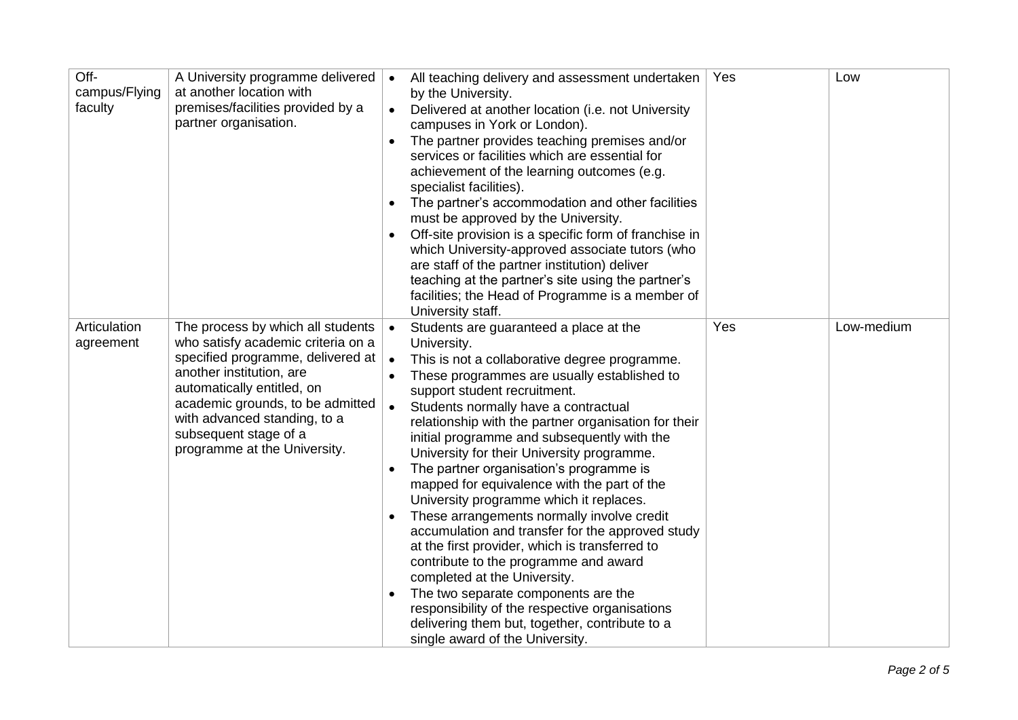| Off-<br>campus/Flying     | A University programme delivered<br>at another location with                                                                                                                                                                                                                                        | $\bullet$ | All teaching delivery and assessment undertaken<br>by the University.                                                                                                                                                                                                                                                                                                                                                                                                                                                                                                                                                                                                                                                                                                                                                                                                                                                              | Yes | Low        |
|---------------------------|-----------------------------------------------------------------------------------------------------------------------------------------------------------------------------------------------------------------------------------------------------------------------------------------------------|-----------|------------------------------------------------------------------------------------------------------------------------------------------------------------------------------------------------------------------------------------------------------------------------------------------------------------------------------------------------------------------------------------------------------------------------------------------------------------------------------------------------------------------------------------------------------------------------------------------------------------------------------------------------------------------------------------------------------------------------------------------------------------------------------------------------------------------------------------------------------------------------------------------------------------------------------------|-----|------------|
| faculty                   | premises/facilities provided by a<br>partner organisation.                                                                                                                                                                                                                                          | $\bullet$ | Delivered at another location (i.e. not University<br>campuses in York or London).                                                                                                                                                                                                                                                                                                                                                                                                                                                                                                                                                                                                                                                                                                                                                                                                                                                 |     |            |
|                           |                                                                                                                                                                                                                                                                                                     | $\bullet$ | The partner provides teaching premises and/or<br>services or facilities which are essential for<br>achievement of the learning outcomes (e.g.<br>specialist facilities).<br>The partner's accommodation and other facilities<br>must be approved by the University.<br>Off-site provision is a specific form of franchise in<br>which University-approved associate tutors (who<br>are staff of the partner institution) deliver<br>teaching at the partner's site using the partner's<br>facilities; the Head of Programme is a member of<br>University staff.                                                                                                                                                                                                                                                                                                                                                                    |     |            |
| Articulation<br>agreement | The process by which all students<br>who satisfy academic criteria on a<br>specified programme, delivered at<br>another institution, are<br>automatically entitled, on<br>academic grounds, to be admitted<br>with advanced standing, to a<br>subsequent stage of a<br>programme at the University. | $\bullet$ | Students are guaranteed a place at the<br>University.<br>This is not a collaborative degree programme.<br>These programmes are usually established to<br>support student recruitment.<br>Students normally have a contractual<br>relationship with the partner organisation for their<br>initial programme and subsequently with the<br>University for their University programme.<br>The partner organisation's programme is<br>mapped for equivalence with the part of the<br>University programme which it replaces.<br>These arrangements normally involve credit<br>accumulation and transfer for the approved study<br>at the first provider, which is transferred to<br>contribute to the programme and award<br>completed at the University.<br>The two separate components are the<br>responsibility of the respective organisations<br>delivering them but, together, contribute to a<br>single award of the University. | Yes | Low-medium |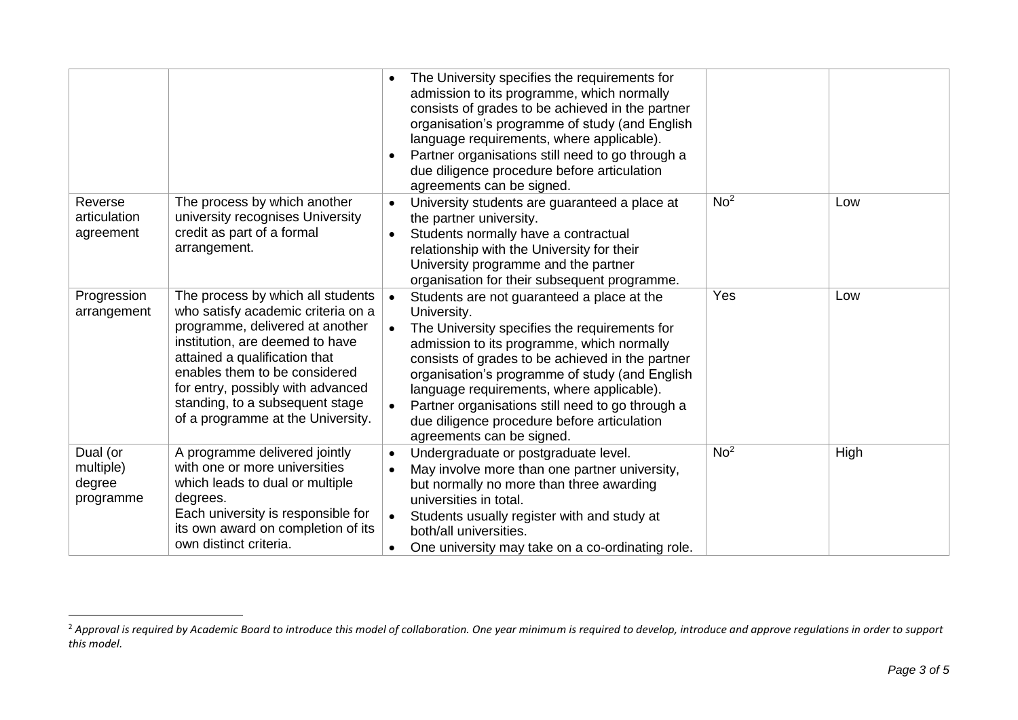<span id="page-2-0"></span>

|                                              |                                                                                                                                                                                                                                                                                                                              |                        | The University specifies the requirements for<br>admission to its programme, which normally<br>consists of grades to be achieved in the partner<br>organisation's programme of study (and English<br>language requirements, where applicable).<br>Partner organisations still need to go through a<br>due diligence procedure before articulation<br>agreements can be signed.                                                              |                 |      |
|----------------------------------------------|------------------------------------------------------------------------------------------------------------------------------------------------------------------------------------------------------------------------------------------------------------------------------------------------------------------------------|------------------------|---------------------------------------------------------------------------------------------------------------------------------------------------------------------------------------------------------------------------------------------------------------------------------------------------------------------------------------------------------------------------------------------------------------------------------------------|-----------------|------|
| Reverse<br>articulation<br>agreement         | The process by which another<br>university recognises University<br>credit as part of a formal<br>arrangement.                                                                                                                                                                                                               | $\bullet$<br>$\bullet$ | University students are guaranteed a place at<br>the partner university.<br>Students normally have a contractual<br>relationship with the University for their<br>University programme and the partner<br>organisation for their subsequent programme.                                                                                                                                                                                      | No <sup>2</sup> | Low  |
| Progression<br>arrangement                   | The process by which all students<br>who satisfy academic criteria on a<br>programme, delivered at another<br>institution, are deemed to have<br>attained a qualification that<br>enables them to be considered<br>for entry, possibly with advanced<br>standing, to a subsequent stage<br>of a programme at the University. |                        | Students are not guaranteed a place at the<br>University.<br>The University specifies the requirements for<br>admission to its programme, which normally<br>consists of grades to be achieved in the partner<br>organisation's programme of study (and English<br>language requirements, where applicable).<br>Partner organisations still need to go through a<br>due diligence procedure before articulation<br>agreements can be signed. | Yes             | Low  |
| Dual (or<br>multiple)<br>degree<br>programme | A programme delivered jointly<br>with one or more universities<br>which leads to dual or multiple<br>degrees.<br>Each university is responsible for<br>its own award on completion of its<br>own distinct criteria.                                                                                                          | $\bullet$<br>$\bullet$ | Undergraduate or postgraduate level.<br>May involve more than one partner university,<br>but normally no more than three awarding<br>universities in total.<br>Students usually register with and study at<br>both/all universities.<br>One university may take on a co-ordinating role.                                                                                                                                                    | No <sup>2</sup> | High |

<sup>2</sup> *Approval is required by Academic Board to introduce this model of collaboration. One year minimum is required to develop, introduce and approve regulations in order to support this model.*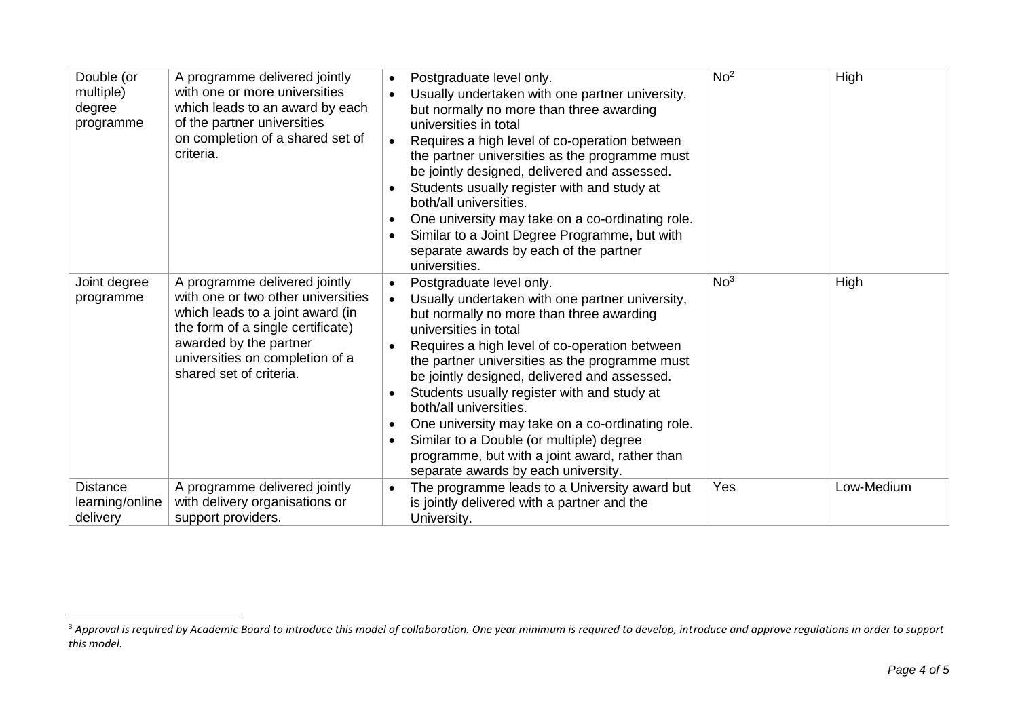<span id="page-3-0"></span>

| Double (or<br>multiple)<br>degree<br>programme | A programme delivered jointly<br>with one or more universities<br>which leads to an award by each<br>of the partner universities<br>on completion of a shared set of<br>criteria.                                                    | Postgraduate level only.<br>$\bullet$<br>Usually undertaken with one partner university,<br>$\bullet$<br>but normally no more than three awarding<br>universities in total<br>Requires a high level of co-operation between<br>$\bullet$<br>the partner universities as the programme must<br>be jointly designed, delivered and assessed.<br>Students usually register with and study at<br>$\bullet$<br>both/all universities.<br>One university may take on a co-ordinating role.<br>$\bullet$<br>Similar to a Joint Degree Programme, but with<br>$\bullet$<br>separate awards by each of the partner<br>universities.             | No <sup>2</sup> | High       |
|------------------------------------------------|--------------------------------------------------------------------------------------------------------------------------------------------------------------------------------------------------------------------------------------|----------------------------------------------------------------------------------------------------------------------------------------------------------------------------------------------------------------------------------------------------------------------------------------------------------------------------------------------------------------------------------------------------------------------------------------------------------------------------------------------------------------------------------------------------------------------------------------------------------------------------------------|-----------------|------------|
| Joint degree<br>programme                      | A programme delivered jointly<br>with one or two other universities<br>which leads to a joint award (in<br>the form of a single certificate)<br>awarded by the partner<br>universities on completion of a<br>shared set of criteria. | Postgraduate level only.<br>$\bullet$<br>Usually undertaken with one partner university,<br>$\bullet$<br>but normally no more than three awarding<br>universities in total<br>Requires a high level of co-operation between<br>$\bullet$<br>the partner universities as the programme must<br>be jointly designed, delivered and assessed.<br>Students usually register with and study at<br>both/all universities.<br>One university may take on a co-ordinating role.<br>$\bullet$<br>Similar to a Double (or multiple) degree<br>$\bullet$<br>programme, but with a joint award, rather than<br>separate awards by each university. | No <sup>3</sup> | High       |
| <b>Distance</b><br>learning/online<br>delivery | A programme delivered jointly<br>with delivery organisations or<br>support providers.                                                                                                                                                | The programme leads to a University award but<br>$\bullet$<br>is jointly delivered with a partner and the<br>University.                                                                                                                                                                                                                                                                                                                                                                                                                                                                                                               | Yes             | Low-Medium |

<sup>&</sup>lt;sup>3</sup> Approval is required by Academic Board to introduce this model of collaboration. One year minimum is required to develop, introduce and approve regulations in order to support *this model.*